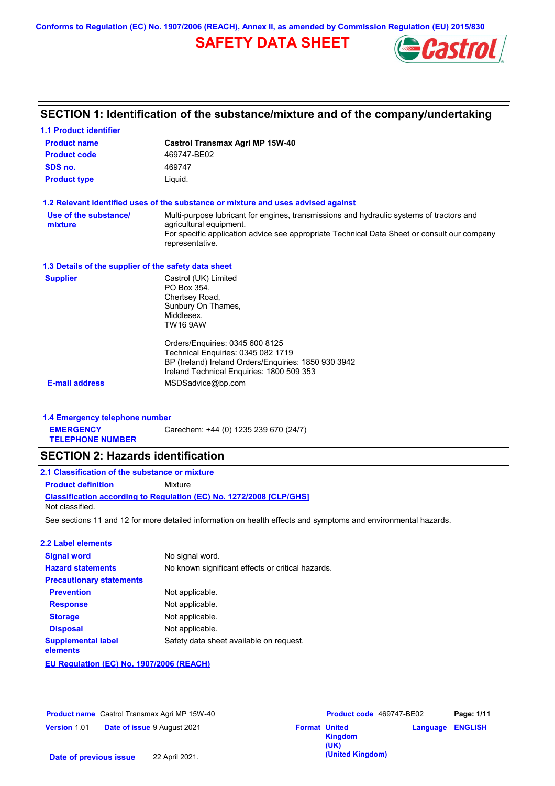**Conforms to Regulation (EC) No. 1907/2006 (REACH), Annex II, as amended by Commission Regulation (EU) 2015/830**

# **SAFETY DATA SHEET**



# **SECTION 1: Identification of the substance/mixture and of the company/undertaking**

| 1.1 Product identifier                               |                                                                                                                                                                                                                                       |
|------------------------------------------------------|---------------------------------------------------------------------------------------------------------------------------------------------------------------------------------------------------------------------------------------|
| <b>Product name</b>                                  | <b>Castrol Transmax Agri MP 15W-40</b>                                                                                                                                                                                                |
| <b>Product code</b>                                  | 469747-BE02                                                                                                                                                                                                                           |
| SDS no.                                              | 469747                                                                                                                                                                                                                                |
| <b>Product type</b>                                  | Liguid.                                                                                                                                                                                                                               |
|                                                      | 1.2 Relevant identified uses of the substance or mixture and uses advised against                                                                                                                                                     |
| Use of the substance/<br>mixture                     | Multi-purpose lubricant for engines, transmissions and hydraulic systems of tractors and<br>agricultural equipment.<br>For specific application advice see appropriate Technical Data Sheet or consult our company<br>representative. |
| 1.3 Details of the supplier of the safety data sheet |                                                                                                                                                                                                                                       |
| <b>Supplier</b>                                      | Castrol (UK) Limited<br>PO Box 354,<br>Chertsey Road,<br>Sunbury On Thames,<br>Middlesex,<br><b>TW16 9AW</b>                                                                                                                          |
|                                                      | Orders/Enquiries: 0345 600 8125<br>Technical Enquiries: 0345 082 1719<br>BP (Ireland) Ireland Orders/Enquiries: 1850 930 3942<br>Ireland Technical Enquiries: 1800 509 353                                                            |
| <b>E-mail address</b>                                | MSDSadvice@bp.com                                                                                                                                                                                                                     |
| 1.4 Emergency telephone number                       |                                                                                                                                                                                                                                       |
| <b>EMERGENCY</b><br><b>TELEPHONE NUMBER</b>          | Carechem: +44 (0) 1235 239 670 (24/7)                                                                                                                                                                                                 |
| <b>SECTION 2: Hazards identification</b>             |                                                                                                                                                                                                                                       |
| 2.1 Classification of the substance or mixture       |                                                                                                                                                                                                                                       |
| <b>Product definition</b>                            | Mixture                                                                                                                                                                                                                               |
| Not classified.                                      | <b>Classification according to Regulation (EC) No. 1272/2008 [CLP/GHS]</b>                                                                                                                                                            |
|                                                      | See sections 11 and 12 for more detailed information on health effects and symptoms and environmental hazards.                                                                                                                        |
| 2.2 Label elements                                   |                                                                                                                                                                                                                                       |
| <b>Signal word</b>                                   | No signal word.                                                                                                                                                                                                                       |
| <b>Hazard statements</b>                             | No known significant effects or critical hazards.                                                                                                                                                                                     |
| <b>Precautionary statements</b>                      |                                                                                                                                                                                                                                       |
| <b>Prevention</b>                                    | Not applicable.                                                                                                                                                                                                                       |
| <b>Response</b>                                      | Not applicable.                                                                                                                                                                                                                       |
| <b>Storage</b>                                       | Not applicable.                                                                                                                                                                                                                       |
| <b>Disposal</b>                                      | Not applicable.                                                                                                                                                                                                                       |
| <b>Supplemental label</b><br>elements                | Safety data sheet available on request.                                                                                                                                                                                               |
| EU Regulation (EC) No. 1907/2006 (REACH)             |                                                                                                                                                                                                                                       |
|                                                      |                                                                                                                                                                                                                                       |

| <b>Product name</b> Castrol Transmax Agri MP 15W-40 |                                         | Product code 469747-BE02<br>Page: 1/11 |
|-----------------------------------------------------|-----------------------------------------|----------------------------------------|
| Date of issue 9 August 2021<br>Version 1.01         | <b>Format United</b><br>Kingdom<br>(UK) | <b>Language ENGLISH</b>                |
| 22 April 2021.<br>Date of previous issue            | (United Kingdom)                        |                                        |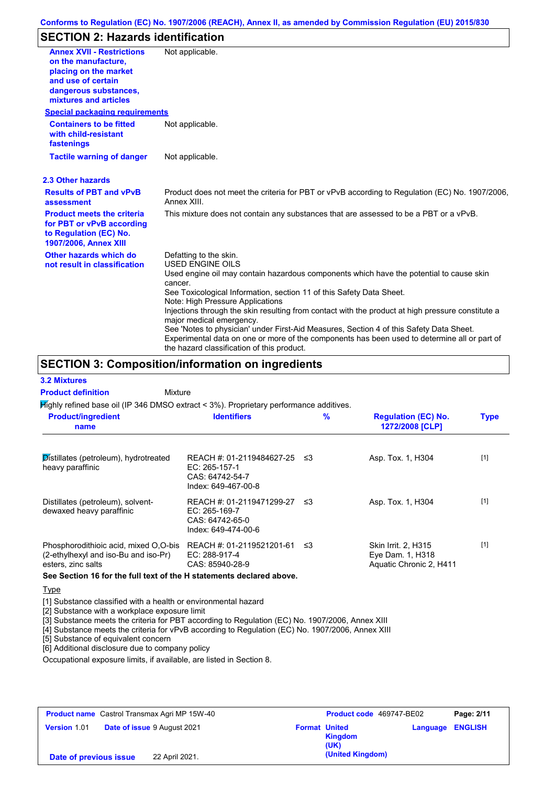# **SECTION 2: Hazards identification**

| <b>Annex XVII - Restrictions</b><br>on the manufacture.<br>placing on the market<br>and use of certain<br>dangerous substances,<br>mixtures and articles | Not applicable.                                                                                                                                                                                                                                                                                                          |
|----------------------------------------------------------------------------------------------------------------------------------------------------------|--------------------------------------------------------------------------------------------------------------------------------------------------------------------------------------------------------------------------------------------------------------------------------------------------------------------------|
| <b>Special packaging requirements</b>                                                                                                                    |                                                                                                                                                                                                                                                                                                                          |
| <b>Containers to be fitted</b><br>with child-resistant<br>fastenings                                                                                     | Not applicable.                                                                                                                                                                                                                                                                                                          |
| <b>Tactile warning of danger</b>                                                                                                                         | Not applicable.                                                                                                                                                                                                                                                                                                          |
| 2.3 Other hazards                                                                                                                                        |                                                                                                                                                                                                                                                                                                                          |
| <b>Results of PBT and vPvB</b><br>assessment                                                                                                             | Product does not meet the criteria for PBT or vPvB according to Regulation (EC) No. 1907/2006,<br>Annex XIII.                                                                                                                                                                                                            |
| <b>Product meets the criteria</b><br>for PBT or vPvB according<br>to Regulation (EC) No.<br><b>1907/2006, Annex XIII</b>                                 | This mixture does not contain any substances that are assessed to be a PBT or a vPvB.                                                                                                                                                                                                                                    |
| Other hazards which do<br>not result in classification                                                                                                   | Defatting to the skin.<br>USED ENGINE OILS                                                                                                                                                                                                                                                                               |
|                                                                                                                                                          | Used engine oil may contain hazardous components which have the potential to cause skin<br>cancer.<br>See Toxicological Information, section 11 of this Safety Data Sheet.<br>Note: High Pressure Applications                                                                                                           |
|                                                                                                                                                          | Injections through the skin resulting from contact with the product at high pressure constitute a<br>major medical emergency.<br>See 'Notes to physician' under First-Aid Measures, Section 4 of this Safety Data Sheet.<br>Experimental data on one or more of the components has been used to determine all or part of |
|                                                                                                                                                          | the hazard classification of this product.                                                                                                                                                                                                                                                                               |

# **SECTION 3: Composition/information on ingredients**

Mixture

### **3.2 Mixtures**

**Product definition**

Highly refined base oil (IP 346 DMSO extract < 3%). Proprietary performance additives.

| <b>Product/ingredient</b><br>name                                                                   | <b>Identifiers</b>                                                                        | $\%$ | <b>Regulation (EC) No.</b><br>1272/2008 [CLP]                      | <b>Type</b> |
|-----------------------------------------------------------------------------------------------------|-------------------------------------------------------------------------------------------|------|--------------------------------------------------------------------|-------------|
| Distillates (petroleum), hydrotreated<br>heavy paraffinic                                           | REACH #: 01-2119484627-25 ≤3<br>$EC: 265-157-1$<br>CAS: 64742-54-7<br>Index: 649-467-00-8 |      | Asp. Tox. 1, H304                                                  | $[1]$       |
| Distillates (petroleum), solvent-<br>dewaxed heavy paraffinic                                       | REACH #: 01-2119471299-27<br>$EC: 265-169-7$<br>CAS: 64742-65-0<br>Index: 649-474-00-6    | - ≤3 | Asp. Tox. 1, H304                                                  | $[1]$       |
| Phosphorodithioic acid, mixed O.O-bis<br>(2-ethylhexyl and iso-Bu and iso-Pr)<br>esters, zinc salts | REACH #: 01-2119521201-61<br>EC: 288-917-4<br>CAS: 85940-28-9                             | ב≥   | Skin Irrit. 2. H315<br>Eye Dam. 1, H318<br>Aquatic Chronic 2, H411 | $[1]$       |

**See Section 16 for the full text of the H statements declared above.**

## **Type**

[1] Substance classified with a health or environmental hazard

[2] Substance with a workplace exposure limit

[3] Substance meets the criteria for PBT according to Regulation (EC) No. 1907/2006, Annex XIII

[4] Substance meets the criteria for vPvB according to Regulation (EC) No. 1907/2006, Annex XIII

[5] Substance of equivalent concern

[6] Additional disclosure due to company policy

Occupational exposure limits, if available, are listed in Section 8.

| <b>Product name</b> Castrol Transmax Agri MP 15W-40 |                                    |                      | Product code 469747-BE02 | Page: 2/11              |
|-----------------------------------------------------|------------------------------------|----------------------|--------------------------|-------------------------|
| Version 1.01                                        | <b>Date of issue 9 August 2021</b> | <b>Format United</b> | Kingdom<br>(UK)          | <b>Language ENGLISH</b> |
| Date of previous issue                              | 22 April 2021.                     |                      | (United Kingdom)         |                         |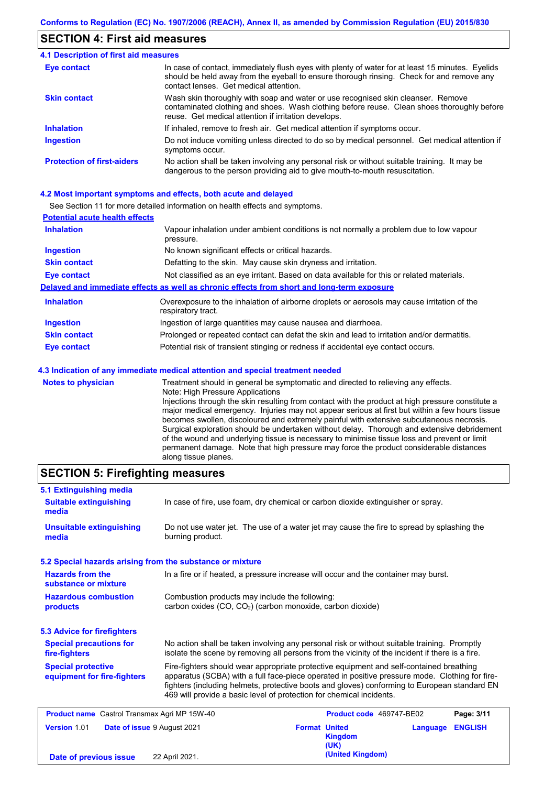## **SECTION 4: First aid measures**

| <b>4.1 Description of first aid measures</b> |                                                                                                                                                                                                                                         |
|----------------------------------------------|-----------------------------------------------------------------------------------------------------------------------------------------------------------------------------------------------------------------------------------------|
| Eye contact                                  | In case of contact, immediately flush eyes with plenty of water for at least 15 minutes. Eyelids<br>should be held away from the eyeball to ensure thorough rinsing. Check for and remove any<br>contact lenses. Get medical attention. |
| <b>Skin contact</b>                          | Wash skin thoroughly with soap and water or use recognised skin cleanser. Remove<br>contaminated clothing and shoes. Wash clothing before reuse. Clean shoes thoroughly before<br>reuse. Get medical attention if irritation develops.  |
| <b>Inhalation</b>                            | If inhaled, remove to fresh air. Get medical attention if symptoms occur.                                                                                                                                                               |
| Ingestion                                    | Do not induce vomiting unless directed to do so by medical personnel. Get medical attention if<br>symptoms occur.                                                                                                                       |
| <b>Protection of first-aiders</b>            | No action shall be taken involving any personal risk or without suitable training. It may be<br>dangerous to the person providing aid to give mouth-to-mouth resuscitation.                                                             |

### **4.2 Most important symptoms and effects, both acute and delayed**

See Section 11 for more detailed information on health effects and symptoms.

| <b>Potential acute health effects</b> |                                                                                                                   |
|---------------------------------------|-------------------------------------------------------------------------------------------------------------------|
| <b>Inhalation</b>                     | Vapour inhalation under ambient conditions is not normally a problem due to low vapour<br>pressure.               |
| <b>Ingestion</b>                      | No known significant effects or critical hazards.                                                                 |
| <b>Skin contact</b>                   | Defatting to the skin. May cause skin dryness and irritation.                                                     |
| Eye contact                           | Not classified as an eye irritant. Based on data available for this or related materials.                         |
|                                       | Delayed and immediate effects as well as chronic effects from short and long-term exposure                        |
| <b>Inhalation</b>                     | Overexposure to the inhalation of airborne droplets or aerosols may cause irritation of the<br>respiratory tract. |
| <b>Ingestion</b>                      | Ingestion of large quantities may cause nausea and diarrhoea.                                                     |
| <b>Skin contact</b>                   | Prolonged or repeated contact can defat the skin and lead to irritation and/or dermatitis.                        |
| <b>Eye contact</b>                    | Potential risk of transient stinging or redness if accidental eye contact occurs.                                 |
|                                       | 4.3 Indication of any immediate medical attention and special treatment needed                                    |
| <b>Notes to physician</b>             | Treatment should in general be symptomatic and directed to relieving any effects.                                 |

Note: High Pressure Applications Injections through the skin resulting from contact with the product at high pressure constitute a major medical emergency. Injuries may not appear serious at first but within a few hours tissue becomes swollen, discoloured and extremely painful with extensive subcutaneous necrosis. Surgical exploration should be undertaken without delay. Thorough and extensive debridement of the wound and underlying tissue is necessary to minimise tissue loss and prevent or limit permanent damage. Note that high pressure may force the product considerable distances along tissue planes.

# **SECTION 5: Firefighting measures**

| 5.1 Extinguishing media                                  |                                                                                                                                                                                                                                                                                                                                                                   |                                              |
|----------------------------------------------------------|-------------------------------------------------------------------------------------------------------------------------------------------------------------------------------------------------------------------------------------------------------------------------------------------------------------------------------------------------------------------|----------------------------------------------|
| <b>Suitable extinguishing</b><br>media                   | In case of fire, use foam, dry chemical or carbon dioxide extinguisher or spray.                                                                                                                                                                                                                                                                                  |                                              |
| <b>Unsuitable extinguishing</b><br>media                 | Do not use water jet. The use of a water jet may cause the fire to spread by splashing the<br>burning product.                                                                                                                                                                                                                                                    |                                              |
|                                                          | 5.2 Special hazards arising from the substance or mixture                                                                                                                                                                                                                                                                                                         |                                              |
| <b>Hazards from the</b><br>substance or mixture          | In a fire or if heated, a pressure increase will occur and the container may burst.                                                                                                                                                                                                                                                                               |                                              |
| <b>Hazardous combustion</b><br>products                  | Combustion products may include the following:<br>carbon oxides (CO, CO <sub>2</sub> ) (carbon monoxide, carbon dioxide)                                                                                                                                                                                                                                          |                                              |
| 5.3 Advice for firefighters                              |                                                                                                                                                                                                                                                                                                                                                                   |                                              |
| <b>Special precautions for</b><br>fire-fighters          | No action shall be taken involving any personal risk or without suitable training. Promptly<br>isolate the scene by removing all persons from the vicinity of the incident if there is a fire.                                                                                                                                                                    |                                              |
| <b>Special protective</b><br>equipment for fire-fighters | Fire-fighters should wear appropriate protective equipment and self-contained breathing<br>apparatus (SCBA) with a full face-piece operated in positive pressure mode. Clothing for fire-<br>fighters (including helmets, protective boots and gloves) conforming to European standard EN<br>469 will provide a basic level of protection for chemical incidents. |                                              |
| <b>Product name</b> Castrol Transmax Agri MP 15W-40      |                                                                                                                                                                                                                                                                                                                                                                   | Product code 469747-BE02<br>Page: 3/11       |
| Version 1.01                                             | <b>Format United</b><br>Date of issue 9 August 2021<br>(UK)                                                                                                                                                                                                                                                                                                       | <b>ENGLISH</b><br>Language<br><b>Kingdom</b> |
| Date of previous issue                                   | 22 April 2021.                                                                                                                                                                                                                                                                                                                                                    | (United Kingdom)                             |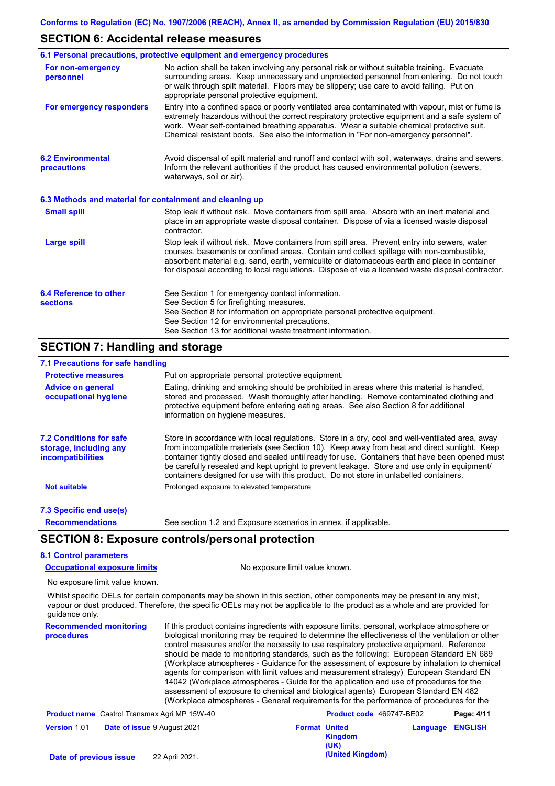## **SECTION 6: Accidental release measures**

|                                                          | 6.1 Personal precautions, protective equipment and emergency procedures                                                                                                                                                                                                                                                                                                                        |
|----------------------------------------------------------|------------------------------------------------------------------------------------------------------------------------------------------------------------------------------------------------------------------------------------------------------------------------------------------------------------------------------------------------------------------------------------------------|
| For non-emergency<br>personnel                           | No action shall be taken involving any personal risk or without suitable training. Evacuate<br>surrounding areas. Keep unnecessary and unprotected personnel from entering. Do not touch<br>or walk through spilt material. Floors may be slippery; use care to avoid falling. Put on<br>appropriate personal protective equipment.                                                            |
| For emergency responders                                 | Entry into a confined space or poorly ventilated area contaminated with vapour, mist or fume is<br>extremely hazardous without the correct respiratory protective equipment and a safe system of<br>work. Wear self-contained breathing apparatus. Wear a suitable chemical protective suit.<br>Chemical resistant boots. See also the information in "For non-emergency personnel".           |
| <b>6.2 Environmental</b><br>precautions                  | Avoid dispersal of spilt material and runoff and contact with soil, waterways, drains and sewers.<br>Inform the relevant authorities if the product has caused environmental pollution (sewers,<br>waterways, soil or air).                                                                                                                                                                    |
| 6.3 Methods and material for containment and cleaning up |                                                                                                                                                                                                                                                                                                                                                                                                |
| <b>Small spill</b>                                       | Stop leak if without risk. Move containers from spill area. Absorb with an inert material and<br>place in an appropriate waste disposal container. Dispose of via a licensed waste disposal<br>contractor.                                                                                                                                                                                     |
| <b>Large spill</b>                                       | Stop leak if without risk. Move containers from spill area. Prevent entry into sewers, water<br>courses, basements or confined areas. Contain and collect spillage with non-combustible,<br>absorbent material e.g. sand, earth, vermiculite or diatomaceous earth and place in container<br>for disposal according to local regulations. Dispose of via a licensed waste disposal contractor. |
| 6.4 Reference to other<br><b>sections</b>                | See Section 1 for emergency contact information.<br>See Section 5 for firefighting measures.<br>See Section 8 for information on appropriate personal protective equipment.<br>See Section 12 for environmental precautions.<br>See Section 13 for additional waste treatment information.                                                                                                     |
| <b>SECTION 7: Handling and storage</b>                   |                                                                                                                                                                                                                                                                                                                                                                                                |
| 7.1 Precautions for safe handling                        |                                                                                                                                                                                                                                                                                                                                                                                                |
| <b>Protective measures</b>                               | Put on appropriate personal protective equipment.                                                                                                                                                                                                                                                                                                                                              |
| <b>Advice on general</b>                                 | Eating, drinking and smoking should be prohibited in areas where this material is handled,                                                                                                                                                                                                                                                                                                     |

| <b>Advice on general</b><br>occupational hygiene                                     | Eating, drinking and smoking should be prohibited in areas where this material is handled,<br>stored and processed. Wash thoroughly after handling. Remove contaminated clothing and<br>protective equipment before entering eating areas. See also Section 8 for additional<br>information on hygiene measures.                                                                                                                                                                         |  |  |  |  |
|--------------------------------------------------------------------------------------|------------------------------------------------------------------------------------------------------------------------------------------------------------------------------------------------------------------------------------------------------------------------------------------------------------------------------------------------------------------------------------------------------------------------------------------------------------------------------------------|--|--|--|--|
| <b>7.2 Conditions for safe</b><br>storage, including any<br><i>incompatibilities</i> | Store in accordance with local regulations. Store in a dry, cool and well-ventilated area, away<br>from incompatible materials (see Section 10). Keep away from heat and direct sunlight. Keep<br>container tightly closed and sealed until ready for use. Containers that have been opened must<br>be carefully resealed and kept upright to prevent leakage. Store and use only in equipment/<br>containers designed for use with this product. Do not store in unlabelled containers. |  |  |  |  |
| <b>Not suitable</b>                                                                  | Prolonged exposure to elevated temperature                                                                                                                                                                                                                                                                                                                                                                                                                                               |  |  |  |  |

#### **7.3 Specific end use(s)**

**Recommendations**

See section 1.2 and Exposure scenarios in annex, if applicable.

## **SECTION 8: Exposure controls/personal protection**

## **8.1 Control parameters**

**Occupational exposure limits** No exposure limit value known.

```
No exposure limit value known.
```
Whilst specific OELs for certain components may be shown in this section, other components may be present in any mist, vapour or dust produced. Therefore, the specific OELs may not be applicable to the product as a whole and are provided for guidance only.

**Recommended monitoring procedures** If this product contains ingredients with exposure limits, personal, workplace atmosphere or biological monitoring may be required to determine the effectiveness of the ventilation or other control measures and/or the necessity to use respiratory protective equipment. Reference should be made to monitoring standards, such as the following: European Standard EN 689 (Workplace atmospheres - Guidance for the assessment of exposure by inhalation to chemical agents for comparison with limit values and measurement strategy) European Standard EN 14042 (Workplace atmospheres - Guide for the application and use of procedures for the assessment of exposure to chemical and biological agents) European Standard EN 482 (Workplace atmospheres - General requirements for the performance of procedures for the **Product name** Castrol Transmax Agri MP 15W-40 **Product Code** 469747-BE02 **Page: 4/11** 

| <b>Format United</b><br><b>Version 1.01</b><br>Date of issue 9 August 2021<br><b>Language ENGLISH</b><br><b>Kingdom</b><br>(UK) |  | <b>T TOUGH HEMIC</b> OGSHOT HEMISHIER AGH IVIT TO YV- |                  |  |
|---------------------------------------------------------------------------------------------------------------------------------|--|-------------------------------------------------------|------------------|--|
|                                                                                                                                 |  |                                                       |                  |  |
|                                                                                                                                 |  |                                                       |                  |  |
| Date of previous issue                                                                                                          |  | 22 April 2021.                                        | (United Kingdom) |  |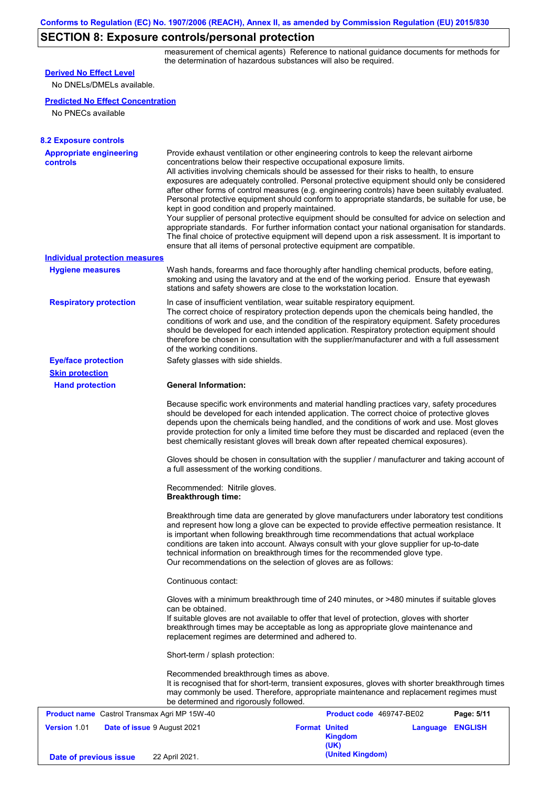# **SECTION 8: Exposure controls/personal protection**

measurement of chemical agents) Reference to national guidance documents for methods for the determination of hazardous substances will also be required.

| <b>Predicted No Effect Concentration</b><br>No PNECs available<br><b>Appropriate engineering</b><br>Provide exhaust ventilation or other engineering controls to keep the relevant airborne<br><b>controls</b><br>concentrations below their respective occupational exposure limits.<br>All activities involving chemicals should be assessed for their risks to health, to ensure<br>exposures are adequately controlled. Personal protective equipment should only be considered<br>after other forms of control measures (e.g. engineering controls) have been suitably evaluated.<br>Personal protective equipment should conform to appropriate standards, be suitable for use, be<br>kept in good condition and properly maintained.<br>Your supplier of personal protective equipment should be consulted for advice on selection and<br>appropriate standards. For further information contact your national organisation for standards.<br>The final choice of protective equipment will depend upon a risk assessment. It is important to<br>ensure that all items of personal protective equipment are compatible.<br><b>Individual protection measures</b><br>Wash hands, forearms and face thoroughly after handling chemical products, before eating,<br><b>Hygiene measures</b><br>smoking and using the lavatory and at the end of the working period. Ensure that eyewash<br>stations and safety showers are close to the workstation location.<br><b>Respiratory protection</b><br>In case of insufficient ventilation, wear suitable respiratory equipment.<br>The correct choice of respiratory protection depends upon the chemicals being handled, the<br>conditions of work and use, and the condition of the respiratory equipment. Safety procedures<br>should be developed for each intended application. Respiratory protection equipment should<br>therefore be chosen in consultation with the supplier/manufacturer and with a full assessment<br>of the working conditions.<br>Safety glasses with side shields.<br><b>Eye/face protection</b><br><b>Skin protection</b><br><b>Hand protection</b><br><b>General Information:</b><br>Because specific work environments and material handling practices vary, safety procedures<br>should be developed for each intended application. The correct choice of protective gloves<br>depends upon the chemicals being handled, and the conditions of work and use. Most gloves<br>provide protection for only a limited time before they must be discarded and replaced (even the<br>best chemically resistant gloves will break down after repeated chemical exposures).<br>Gloves should be chosen in consultation with the supplier / manufacturer and taking account of<br>a full assessment of the working conditions.<br>Recommended: Nitrile gloves.<br><b>Breakthrough time:</b><br>Breakthrough time data are generated by glove manufacturers under laboratory test conditions<br>and represent how long a glove can be expected to provide effective permeation resistance. It<br>is important when following breakthrough time recommendations that actual workplace<br>conditions are taken into account. Always consult with your glove supplier for up-to-date<br>technical information on breakthrough times for the recommended glove type.<br>Our recommendations on the selection of gloves are as follows:<br>Continuous contact:<br>Gloves with a minimum breakthrough time of 240 minutes, or >480 minutes if suitable gloves<br>can be obtained.<br>If suitable gloves are not available to offer that level of protection, gloves with shorter<br>breakthrough times may be acceptable as long as appropriate glove maintenance and<br>replacement regimes are determined and adhered to.<br>Short-term / splash protection:<br>Recommended breakthrough times as above.<br>It is recognised that for short-term, transient exposures, gloves with shorter breakthrough times<br>may commonly be used. Therefore, appropriate maintenance and replacement regimes must<br>be determined and rigorously followed.<br><b>Product name</b> Castrol Transmax Agri MP 15W-40<br><b>Product code</b> 469747-BE02<br>Page: 5/11 | <b>Derived No Effect Level</b> |  |  |
|------------------------------------------------------------------------------------------------------------------------------------------------------------------------------------------------------------------------------------------------------------------------------------------------------------------------------------------------------------------------------------------------------------------------------------------------------------------------------------------------------------------------------------------------------------------------------------------------------------------------------------------------------------------------------------------------------------------------------------------------------------------------------------------------------------------------------------------------------------------------------------------------------------------------------------------------------------------------------------------------------------------------------------------------------------------------------------------------------------------------------------------------------------------------------------------------------------------------------------------------------------------------------------------------------------------------------------------------------------------------------------------------------------------------------------------------------------------------------------------------------------------------------------------------------------------------------------------------------------------------------------------------------------------------------------------------------------------------------------------------------------------------------------------------------------------------------------------------------------------------------------------------------------------------------------------------------------------------------------------------------------------------------------------------------------------------------------------------------------------------------------------------------------------------------------------------------------------------------------------------------------------------------------------------------------------------------------------------------------------------------------------------------------------------------------------------------------------------------------------------------------------------------------------------------------------------------------------------------------------------------------------------------------------------------------------------------------------------------------------------------------------------------------------------------------------------------------------------------------------------------------------------------------------------------------------------------------------------------------------------------------------------------------------------------------------------------------------------------------------------------------------------------------------------------------------------------------------------------------------------------------------------------------------------------------------------------------------------------------------------------------------------------------------------------------------------------------------------------------------------------------------------------------------------------------------------------------------------------------------------------------------------------------------------------------------------------------------------------------------------------------------------------------------------------------------------------------------------------------------------------------------------------------------------------------------------------------------------------------------------------------------------------------------------------------------------------------------------------------------------------------------------------------------------------------------------------------------------------|--------------------------------|--|--|
|                                                                                                                                                                                                                                                                                                                                                                                                                                                                                                                                                                                                                                                                                                                                                                                                                                                                                                                                                                                                                                                                                                                                                                                                                                                                                                                                                                                                                                                                                                                                                                                                                                                                                                                                                                                                                                                                                                                                                                                                                                                                                                                                                                                                                                                                                                                                                                                                                                                                                                                                                                                                                                                                                                                                                                                                                                                                                                                                                                                                                                                                                                                                                                                                                                                                                                                                                                                                                                                                                                                                                                                                                                                                                                                                                                                                                                                                                                                                                                                                                                                                                                                                                                                                                              | No DNELs/DMELs available.      |  |  |
| <b>8.2 Exposure controls</b>                                                                                                                                                                                                                                                                                                                                                                                                                                                                                                                                                                                                                                                                                                                                                                                                                                                                                                                                                                                                                                                                                                                                                                                                                                                                                                                                                                                                                                                                                                                                                                                                                                                                                                                                                                                                                                                                                                                                                                                                                                                                                                                                                                                                                                                                                                                                                                                                                                                                                                                                                                                                                                                                                                                                                                                                                                                                                                                                                                                                                                                                                                                                                                                                                                                                                                                                                                                                                                                                                                                                                                                                                                                                                                                                                                                                                                                                                                                                                                                                                                                                                                                                                                                                 |                                |  |  |
|                                                                                                                                                                                                                                                                                                                                                                                                                                                                                                                                                                                                                                                                                                                                                                                                                                                                                                                                                                                                                                                                                                                                                                                                                                                                                                                                                                                                                                                                                                                                                                                                                                                                                                                                                                                                                                                                                                                                                                                                                                                                                                                                                                                                                                                                                                                                                                                                                                                                                                                                                                                                                                                                                                                                                                                                                                                                                                                                                                                                                                                                                                                                                                                                                                                                                                                                                                                                                                                                                                                                                                                                                                                                                                                                                                                                                                                                                                                                                                                                                                                                                                                                                                                                                              |                                |  |  |
|                                                                                                                                                                                                                                                                                                                                                                                                                                                                                                                                                                                                                                                                                                                                                                                                                                                                                                                                                                                                                                                                                                                                                                                                                                                                                                                                                                                                                                                                                                                                                                                                                                                                                                                                                                                                                                                                                                                                                                                                                                                                                                                                                                                                                                                                                                                                                                                                                                                                                                                                                                                                                                                                                                                                                                                                                                                                                                                                                                                                                                                                                                                                                                                                                                                                                                                                                                                                                                                                                                                                                                                                                                                                                                                                                                                                                                                                                                                                                                                                                                                                                                                                                                                                                              |                                |  |  |
|                                                                                                                                                                                                                                                                                                                                                                                                                                                                                                                                                                                                                                                                                                                                                                                                                                                                                                                                                                                                                                                                                                                                                                                                                                                                                                                                                                                                                                                                                                                                                                                                                                                                                                                                                                                                                                                                                                                                                                                                                                                                                                                                                                                                                                                                                                                                                                                                                                                                                                                                                                                                                                                                                                                                                                                                                                                                                                                                                                                                                                                                                                                                                                                                                                                                                                                                                                                                                                                                                                                                                                                                                                                                                                                                                                                                                                                                                                                                                                                                                                                                                                                                                                                                                              |                                |  |  |
|                                                                                                                                                                                                                                                                                                                                                                                                                                                                                                                                                                                                                                                                                                                                                                                                                                                                                                                                                                                                                                                                                                                                                                                                                                                                                                                                                                                                                                                                                                                                                                                                                                                                                                                                                                                                                                                                                                                                                                                                                                                                                                                                                                                                                                                                                                                                                                                                                                                                                                                                                                                                                                                                                                                                                                                                                                                                                                                                                                                                                                                                                                                                                                                                                                                                                                                                                                                                                                                                                                                                                                                                                                                                                                                                                                                                                                                                                                                                                                                                                                                                                                                                                                                                                              |                                |  |  |
|                                                                                                                                                                                                                                                                                                                                                                                                                                                                                                                                                                                                                                                                                                                                                                                                                                                                                                                                                                                                                                                                                                                                                                                                                                                                                                                                                                                                                                                                                                                                                                                                                                                                                                                                                                                                                                                                                                                                                                                                                                                                                                                                                                                                                                                                                                                                                                                                                                                                                                                                                                                                                                                                                                                                                                                                                                                                                                                                                                                                                                                                                                                                                                                                                                                                                                                                                                                                                                                                                                                                                                                                                                                                                                                                                                                                                                                                                                                                                                                                                                                                                                                                                                                                                              |                                |  |  |
|                                                                                                                                                                                                                                                                                                                                                                                                                                                                                                                                                                                                                                                                                                                                                                                                                                                                                                                                                                                                                                                                                                                                                                                                                                                                                                                                                                                                                                                                                                                                                                                                                                                                                                                                                                                                                                                                                                                                                                                                                                                                                                                                                                                                                                                                                                                                                                                                                                                                                                                                                                                                                                                                                                                                                                                                                                                                                                                                                                                                                                                                                                                                                                                                                                                                                                                                                                                                                                                                                                                                                                                                                                                                                                                                                                                                                                                                                                                                                                                                                                                                                                                                                                                                                              |                                |  |  |
|                                                                                                                                                                                                                                                                                                                                                                                                                                                                                                                                                                                                                                                                                                                                                                                                                                                                                                                                                                                                                                                                                                                                                                                                                                                                                                                                                                                                                                                                                                                                                                                                                                                                                                                                                                                                                                                                                                                                                                                                                                                                                                                                                                                                                                                                                                                                                                                                                                                                                                                                                                                                                                                                                                                                                                                                                                                                                                                                                                                                                                                                                                                                                                                                                                                                                                                                                                                                                                                                                                                                                                                                                                                                                                                                                                                                                                                                                                                                                                                                                                                                                                                                                                                                                              |                                |  |  |
|                                                                                                                                                                                                                                                                                                                                                                                                                                                                                                                                                                                                                                                                                                                                                                                                                                                                                                                                                                                                                                                                                                                                                                                                                                                                                                                                                                                                                                                                                                                                                                                                                                                                                                                                                                                                                                                                                                                                                                                                                                                                                                                                                                                                                                                                                                                                                                                                                                                                                                                                                                                                                                                                                                                                                                                                                                                                                                                                                                                                                                                                                                                                                                                                                                                                                                                                                                                                                                                                                                                                                                                                                                                                                                                                                                                                                                                                                                                                                                                                                                                                                                                                                                                                                              |                                |  |  |
|                                                                                                                                                                                                                                                                                                                                                                                                                                                                                                                                                                                                                                                                                                                                                                                                                                                                                                                                                                                                                                                                                                                                                                                                                                                                                                                                                                                                                                                                                                                                                                                                                                                                                                                                                                                                                                                                                                                                                                                                                                                                                                                                                                                                                                                                                                                                                                                                                                                                                                                                                                                                                                                                                                                                                                                                                                                                                                                                                                                                                                                                                                                                                                                                                                                                                                                                                                                                                                                                                                                                                                                                                                                                                                                                                                                                                                                                                                                                                                                                                                                                                                                                                                                                                              |                                |  |  |
|                                                                                                                                                                                                                                                                                                                                                                                                                                                                                                                                                                                                                                                                                                                                                                                                                                                                                                                                                                                                                                                                                                                                                                                                                                                                                                                                                                                                                                                                                                                                                                                                                                                                                                                                                                                                                                                                                                                                                                                                                                                                                                                                                                                                                                                                                                                                                                                                                                                                                                                                                                                                                                                                                                                                                                                                                                                                                                                                                                                                                                                                                                                                                                                                                                                                                                                                                                                                                                                                                                                                                                                                                                                                                                                                                                                                                                                                                                                                                                                                                                                                                                                                                                                                                              |                                |  |  |
|                                                                                                                                                                                                                                                                                                                                                                                                                                                                                                                                                                                                                                                                                                                                                                                                                                                                                                                                                                                                                                                                                                                                                                                                                                                                                                                                                                                                                                                                                                                                                                                                                                                                                                                                                                                                                                                                                                                                                                                                                                                                                                                                                                                                                                                                                                                                                                                                                                                                                                                                                                                                                                                                                                                                                                                                                                                                                                                                                                                                                                                                                                                                                                                                                                                                                                                                                                                                                                                                                                                                                                                                                                                                                                                                                                                                                                                                                                                                                                                                                                                                                                                                                                                                                              |                                |  |  |
| Date of issue 9 August 2021<br><b>Format United</b><br><b>Language ENGLISH</b><br><b>Kingdom</b><br>(UK)<br>(United Kingdom)<br>22 April 2021.<br>Date of previous issue                                                                                                                                                                                                                                                                                                                                                                                                                                                                                                                                                                                                                                                                                                                                                                                                                                                                                                                                                                                                                                                                                                                                                                                                                                                                                                                                                                                                                                                                                                                                                                                                                                                                                                                                                                                                                                                                                                                                                                                                                                                                                                                                                                                                                                                                                                                                                                                                                                                                                                                                                                                                                                                                                                                                                                                                                                                                                                                                                                                                                                                                                                                                                                                                                                                                                                                                                                                                                                                                                                                                                                                                                                                                                                                                                                                                                                                                                                                                                                                                                                                     | <b>Version 1.01</b>            |  |  |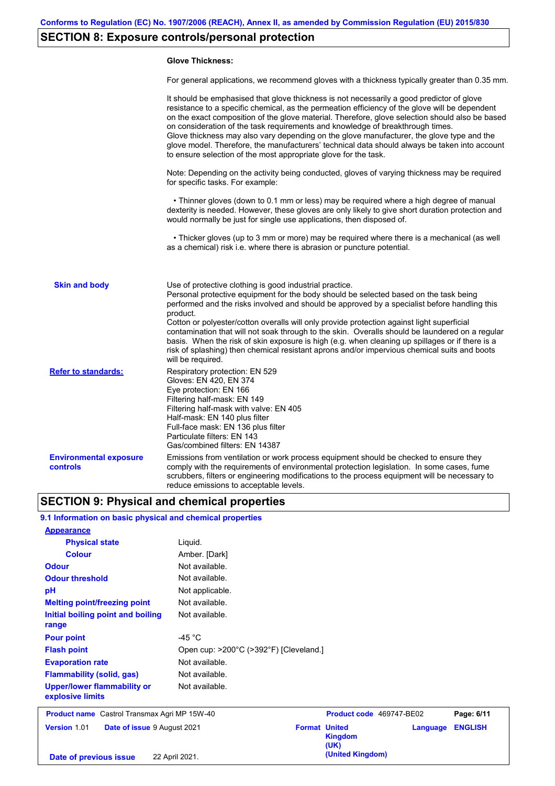# **SECTION 8: Exposure controls/personal protection**

### **Glove Thickness:**

For general applications, we recommend gloves with a thickness typically greater than 0.35 mm.

|                                           | It should be emphasised that glove thickness is not necessarily a good predictor of glove<br>resistance to a specific chemical, as the permeation efficiency of the glove will be dependent<br>on the exact composition of the glove material. Therefore, glove selection should also be based<br>on consideration of the task requirements and knowledge of breakthrough times.<br>Glove thickness may also vary depending on the glove manufacturer, the glove type and the<br>glove model. Therefore, the manufacturers' technical data should always be taken into account<br>to ensure selection of the most appropriate glove for the task.                                     |
|-------------------------------------------|---------------------------------------------------------------------------------------------------------------------------------------------------------------------------------------------------------------------------------------------------------------------------------------------------------------------------------------------------------------------------------------------------------------------------------------------------------------------------------------------------------------------------------------------------------------------------------------------------------------------------------------------------------------------------------------|
|                                           | Note: Depending on the activity being conducted, gloves of varying thickness may be required<br>for specific tasks. For example:                                                                                                                                                                                                                                                                                                                                                                                                                                                                                                                                                      |
|                                           | • Thinner gloves (down to 0.1 mm or less) may be required where a high degree of manual<br>dexterity is needed. However, these gloves are only likely to give short duration protection and<br>would normally be just for single use applications, then disposed of.                                                                                                                                                                                                                                                                                                                                                                                                                  |
|                                           | • Thicker gloves (up to 3 mm or more) may be required where there is a mechanical (as well<br>as a chemical) risk i.e. where there is abrasion or puncture potential.                                                                                                                                                                                                                                                                                                                                                                                                                                                                                                                 |
| <b>Skin and body</b>                      | Use of protective clothing is good industrial practice.<br>Personal protective equipment for the body should be selected based on the task being<br>performed and the risks involved and should be approved by a specialist before handling this<br>product.<br>Cotton or polyester/cotton overalls will only provide protection against light superficial<br>contamination that will not soak through to the skin. Overalls should be laundered on a regular<br>basis. When the risk of skin exposure is high (e.g. when cleaning up spillages or if there is a<br>risk of splashing) then chemical resistant aprons and/or impervious chemical suits and boots<br>will be required. |
| <b>Refer to standards:</b>                | Respiratory protection: EN 529<br>Gloves: EN 420, EN 374<br>Eye protection: EN 166<br>Filtering half-mask: EN 149<br>Filtering half-mask with valve: EN 405<br>Half-mask: EN 140 plus filter<br>Full-face mask: EN 136 plus filter<br>Particulate filters: EN 143<br>Gas/combined filters: EN 14387                                                                                                                                                                                                                                                                                                                                                                                   |
| <b>Environmental exposure</b><br>controls | Emissions from ventilation or work process equipment should be checked to ensure they<br>comply with the requirements of environmental protection legislation. In some cases, fume<br>scrubbers, filters or engineering modifications to the process equipment will be necessary to<br>reduce emissions to acceptable levels.                                                                                                                                                                                                                                                                                                                                                         |

# **SECTION 9: Physical and chemical properties**

## **9.1 Information on basic physical and chemical properties**

| <b>Appearance</b>                                      |                                        |                                                            |                |
|--------------------------------------------------------|----------------------------------------|------------------------------------------------------------|----------------|
| <b>Physical state</b>                                  | Liquid.                                |                                                            |                |
| <b>Colour</b>                                          | Amber. [Dark]                          |                                                            |                |
| <b>Odour</b>                                           | Not available.                         |                                                            |                |
| <b>Odour threshold</b>                                 | Not available.                         |                                                            |                |
| pH                                                     | Not applicable.                        |                                                            |                |
| <b>Melting point/freezing point</b>                    | Not available.                         |                                                            |                |
| Initial boiling point and boiling<br>range             | Not available.                         |                                                            |                |
| <b>Pour point</b>                                      | -45 $^{\circ}$ C                       |                                                            |                |
| <b>Flash point</b>                                     | Open cup: >200°C (>392°F) [Cleveland.] |                                                            |                |
| <b>Evaporation rate</b>                                | Not available.                         |                                                            |                |
| <b>Flammability (solid, gas)</b>                       | Not available.                         |                                                            |                |
| <b>Upper/lower flammability or</b><br>explosive limits | Not available.                         |                                                            |                |
| <b>Product name</b> Castrol Transmax Agri MP 15W-40    |                                        | Product code 469747-BE02                                   | Page: 6/11     |
| Version 1.01<br>Date of issue 9 August 2021            |                                        | <b>Format United</b><br>Language<br><b>Kingdom</b><br>(UK) | <b>ENGLISH</b> |
| Date of previous issue                                 | 22 April 2021.                         | (United Kingdom)                                           |                |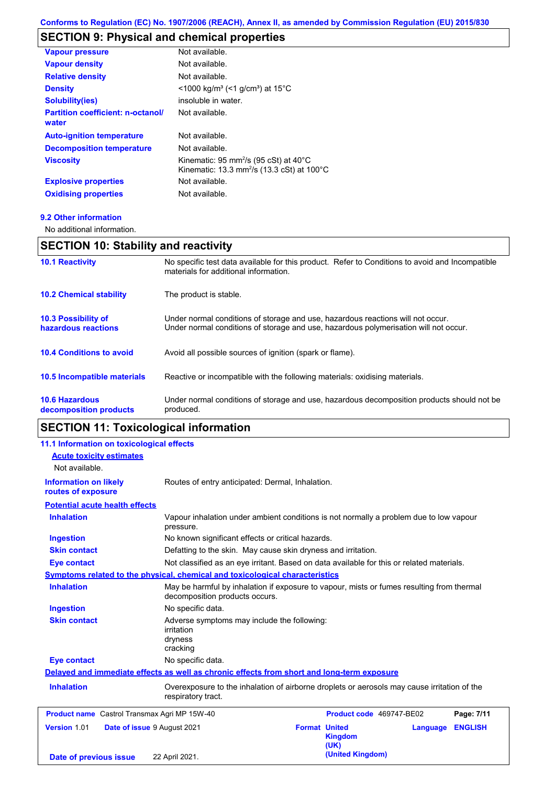# **SECTION 9: Physical and chemical properties**

| <b>Vapour pressure</b>                            | Not available.                                                                                                                   |
|---------------------------------------------------|----------------------------------------------------------------------------------------------------------------------------------|
| <b>Vapour density</b>                             | Not available.                                                                                                                   |
| <b>Relative density</b>                           | Not available.                                                                                                                   |
| <b>Density</b>                                    | <1000 kg/m <sup>3</sup> (<1 g/cm <sup>3</sup> ) at 15 <sup>°</sup> C                                                             |
| <b>Solubility(ies)</b>                            | insoluble in water.                                                                                                              |
| <b>Partition coefficient: n-octanol/</b><br>water | Not available.                                                                                                                   |
| <b>Auto-ignition temperature</b>                  | Not available.                                                                                                                   |
| <b>Decomposition temperature</b>                  | Not available.                                                                                                                   |
| <b>Viscosity</b>                                  | Kinematic: 95 mm <sup>2</sup> /s (95 cSt) at $40^{\circ}$ C<br>Kinematic: 13.3 mm <sup>2</sup> /s (13.3 cSt) at 100 $^{\circ}$ C |
| <b>Explosive properties</b>                       | Not available.                                                                                                                   |
| <b>Oxidising properties</b>                       | Not available.                                                                                                                   |
|                                                   |                                                                                                                                  |

#### **9.2 Other information**

No additional information.

# **SECTION 10: Stability and reactivity**

| <b>10.1 Reactivity</b>                            | No specific test data available for this product. Refer to Conditions to avoid and Incompatible<br>materials for additional information.                                |
|---------------------------------------------------|-------------------------------------------------------------------------------------------------------------------------------------------------------------------------|
| <b>10.2 Chemical stability</b>                    | The product is stable.                                                                                                                                                  |
| <b>10.3 Possibility of</b><br>hazardous reactions | Under normal conditions of storage and use, hazardous reactions will not occur.<br>Under normal conditions of storage and use, hazardous polymerisation will not occur. |
| <b>10.4 Conditions to avoid</b>                   | Avoid all possible sources of ignition (spark or flame).                                                                                                                |
| 10.5 Incompatible materials                       | Reactive or incompatible with the following materials: oxidising materials.                                                                                             |
| <b>10.6 Hazardous</b><br>decomposition products   | Under normal conditions of storage and use, hazardous decomposition products should not be<br>produced.                                                                 |

# **SECTION 11: Toxicological information**

| 11.1 Information on toxicological effects           |                                                                                         |                                                                                             |                            |
|-----------------------------------------------------|-----------------------------------------------------------------------------------------|---------------------------------------------------------------------------------------------|----------------------------|
| <b>Acute toxicity estimates</b>                     |                                                                                         |                                                                                             |                            |
| Not available.                                      |                                                                                         |                                                                                             |                            |
| <b>Information on likely</b><br>routes of exposure  | Routes of entry anticipated: Dermal, Inhalation.                                        |                                                                                             |                            |
| <b>Potential acute health effects</b>               |                                                                                         |                                                                                             |                            |
| <b>Inhalation</b>                                   | pressure.                                                                               | Vapour inhalation under ambient conditions is not normally a problem due to low vapour      |                            |
| <b>Ingestion</b>                                    | No known significant effects or critical hazards.                                       |                                                                                             |                            |
| <b>Skin contact</b>                                 |                                                                                         | Defatting to the skin. May cause skin dryness and irritation.                               |                            |
| <b>Eye contact</b>                                  |                                                                                         | Not classified as an eye irritant. Based on data available for this or related materials.   |                            |
|                                                     | Symptoms related to the physical, chemical and toxicological characteristics            |                                                                                             |                            |
| <b>Inhalation</b>                                   | decomposition products occurs.                                                          | May be harmful by inhalation if exposure to vapour, mists or fumes resulting from thermal   |                            |
| <b>Ingestion</b>                                    | No specific data.                                                                       |                                                                                             |                            |
| <b>Skin contact</b>                                 | Adverse symptoms may include the following:<br><i>irritation</i><br>dryness<br>cracking |                                                                                             |                            |
| <b>Eye contact</b>                                  | No specific data.                                                                       |                                                                                             |                            |
|                                                     |                                                                                         | Delayed and immediate effects as well as chronic effects from short and long-term exposure  |                            |
| <b>Inhalation</b>                                   | respiratory tract.                                                                      | Overexposure to the inhalation of airborne droplets or aerosols may cause irritation of the |                            |
| <b>Product name</b> Castrol Transmax Agri MP 15W-40 |                                                                                         | Product code 469747-BE02                                                                    | Page: 7/11                 |
| Version 1.01                                        | Date of issue 9 August 2021                                                             | <b>Format United</b><br><b>Kingdom</b><br>(UK)                                              | <b>ENGLISH</b><br>Language |
| Date of previous issue                              | 22 April 2021.                                                                          | (United Kingdom)                                                                            |                            |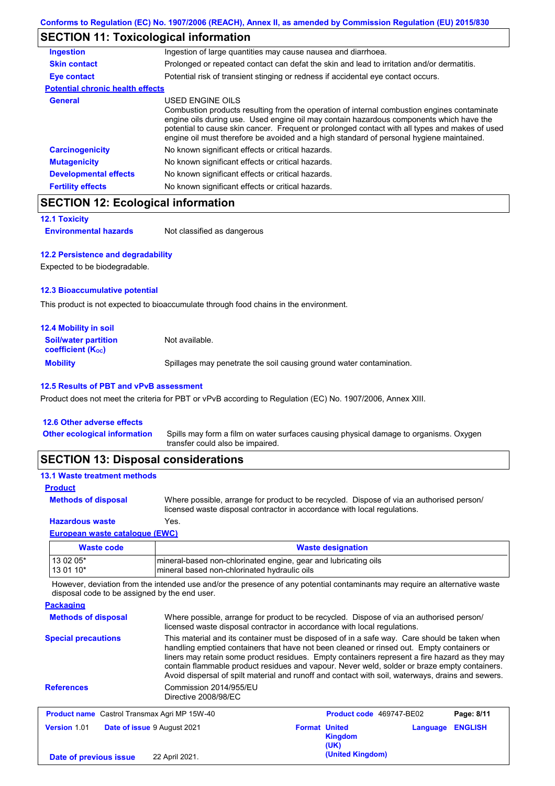# **SECTION 11: Toxicological information**

| Ingestion of large quantities may cause nausea and diarrhoea.                                                                                                                                                                                                                                                                                                                                            |  |  |
|----------------------------------------------------------------------------------------------------------------------------------------------------------------------------------------------------------------------------------------------------------------------------------------------------------------------------------------------------------------------------------------------------------|--|--|
| Prolonged or repeated contact can defat the skin and lead to irritation and/or dermatitis.                                                                                                                                                                                                                                                                                                               |  |  |
| Potential risk of transient stinging or redness if accidental eye contact occurs.                                                                                                                                                                                                                                                                                                                        |  |  |
| <b>Potential chronic health effects</b>                                                                                                                                                                                                                                                                                                                                                                  |  |  |
| USED ENGINE OILS<br>Combustion products resulting from the operation of internal combustion engines contaminate<br>engine oils during use. Used engine oil may contain hazardous components which have the<br>potential to cause skin cancer. Frequent or prolonged contact with all types and makes of used<br>engine oil must therefore be avoided and a high standard of personal hygiene maintained. |  |  |
| No known significant effects or critical hazards.                                                                                                                                                                                                                                                                                                                                                        |  |  |
| No known significant effects or critical hazards.                                                                                                                                                                                                                                                                                                                                                        |  |  |
| No known significant effects or critical hazards.                                                                                                                                                                                                                                                                                                                                                        |  |  |
| No known significant effects or critical hazards.                                                                                                                                                                                                                                                                                                                                                        |  |  |
|                                                                                                                                                                                                                                                                                                                                                                                                          |  |  |

# **SECTION 12: Ecological information**

## **12.1 Toxicity**

**Environmental hazards** Not classified as dangerous

### **12.2 Persistence and degradability**

Expected to be biodegradable.

### **12.3 Bioaccumulative potential**

This product is not expected to bioaccumulate through food chains in the environment.

| <b>12.4 Mobility in soil</b>                                  |                                                                      |
|---------------------------------------------------------------|----------------------------------------------------------------------|
| <b>Soil/water partition</b><br>coefficient (K <sub>oc</sub> ) | Not available.                                                       |
| <b>Mobility</b>                                               | Spillages may penetrate the soil causing ground water contamination. |

## **12.5 Results of PBT and vPvB assessment**

Product does not meet the criteria for PBT or vPvB according to Regulation (EC) No. 1907/2006, Annex XIII.

### **12.6 Other adverse effects**

Spills may form a film on water surfaces causing physical damage to organisms. Oxygen transfer could also be impaired. **Other ecological information**

## **SECTION 13: Disposal considerations**

| <b>13.1 Waste treatment methods</b> |                                                                                                                                                                      |
|-------------------------------------|----------------------------------------------------------------------------------------------------------------------------------------------------------------------|
| <b>Product</b>                      |                                                                                                                                                                      |
| <b>Methods of disposal</b>          | Where possible, arrange for product to be recycled. Dispose of via an authorised person/<br>licensed waste disposal contractor in accordance with local regulations. |
| <b>Hazardous waste</b>              | Yes.                                                                                                                                                                 |
| European waste catalogue (EWC)      |                                                                                                                                                                      |

## **Waste code Waste designation** 13 02 05\* mineral-based non-chlorinated engine, gear and lubricating oils 13 01 10<sup>\*</sup> mineral based non-chlorinated hydraulic oils

However, deviation from the intended use and/or the presence of any potential contaminants may require an alternative waste disposal code to be assigned by the end user.

| <b>Packaging</b>                                                                                                                                                                                   |                                                                                                                                                                                                                                                                                                                                                                                                                                                                                                 |                      |                                 |          |                |
|----------------------------------------------------------------------------------------------------------------------------------------------------------------------------------------------------|-------------------------------------------------------------------------------------------------------------------------------------------------------------------------------------------------------------------------------------------------------------------------------------------------------------------------------------------------------------------------------------------------------------------------------------------------------------------------------------------------|----------------------|---------------------------------|----------|----------------|
| Where possible, arrange for product to be recycled. Dispose of via an authorised person/<br><b>Methods of disposal</b><br>licensed waste disposal contractor in accordance with local regulations. |                                                                                                                                                                                                                                                                                                                                                                                                                                                                                                 |                      |                                 |          |                |
| <b>Special precautions</b>                                                                                                                                                                         | This material and its container must be disposed of in a safe way. Care should be taken when<br>handling emptied containers that have not been cleaned or rinsed out. Empty containers or<br>liners may retain some product residues. Empty containers represent a fire hazard as they may<br>contain flammable product residues and vapour. Never weld, solder or braze empty containers.<br>Avoid dispersal of spilt material and runoff and contact with soil, waterways, drains and sewers. |                      |                                 |          |                |
| <b>References</b>                                                                                                                                                                                  | Commission 2014/955/EU<br>Directive 2008/98/EC                                                                                                                                                                                                                                                                                                                                                                                                                                                  |                      |                                 |          |                |
| <b>Product name</b> Castrol Transmax Agri MP 15W-40                                                                                                                                                |                                                                                                                                                                                                                                                                                                                                                                                                                                                                                                 |                      | <b>Product code</b> 469747-BE02 |          | Page: 8/11     |
| Version 1.01                                                                                                                                                                                       | Date of issue 9 August 2021                                                                                                                                                                                                                                                                                                                                                                                                                                                                     | <b>Format United</b> | <b>Kingdom</b><br>(UK)          | Language | <b>ENGLISH</b> |
| Date of previous issue                                                                                                                                                                             | 22 April 2021.                                                                                                                                                                                                                                                                                                                                                                                                                                                                                  |                      | (United Kingdom)                |          |                |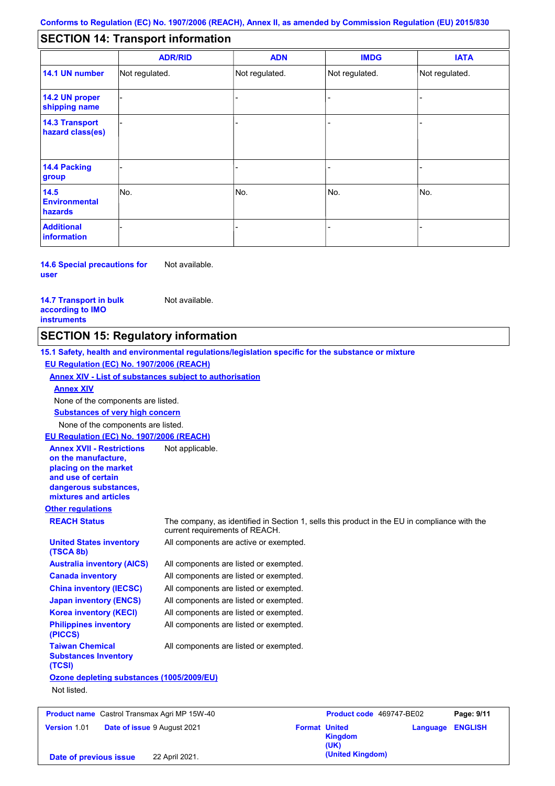#### - - - - - - - - - Not regulated. Not regulated. Not regulated. - - - **SECTION 14: Transport information ADR/RID IMDG IATA 14.1 UN number 14.2 UN proper shipping name 14.3 Transport hazard class(es) 14.4 Packing group ADN Additional information 14.5 Environmental hazards** No. 1980 | No. 1980 | No. 1980 | No. 1980 | No. 1980 | No. 1980 | No. 1980 | No. 1980 | No. 1980 | No. 1980 | Not regulated. - -<br>No. - -

**14.6 Special precautions for user** Not available.

**14.7 Transport in bulk according to IMO instruments**

Not available.

## **SECTION 15: Regulatory information**

**Other regulations REACH Status** The company, as identified in Section 1, sells this product in the EU in compliance with the current requirements of REACH. **15.1 Safety, health and environmental regulations/legislation specific for the substance or mixture EU Regulation (EC) No. 1907/2006 (REACH) Annex XIV - List of substances subject to authorisation Substances of very high concern** None of the components are listed. All components are listed or exempted. All components are listed or exempted. All components are listed or exempted. All components are listed or exempted. All components are active or exempted. All components are listed or exempted. All components are listed or exempted. **United States inventory (TSCA 8b) Australia inventory (AICS) Canada inventory China inventory (IECSC) Japan inventory (ENCS) Korea inventory (KECI) Philippines inventory (PICCS) Taiwan Chemical Substances Inventory (TCSI)** All components are listed or exempted. **Ozone depleting substances (1005/2009/EU)** Not listed. None of the components are listed. **Annex XIV EU Regulation (EC) No. 1907/2006 (REACH) Annex XVII - Restrictions on the manufacture, placing on the market and use of certain dangerous substances, mixtures and articles** Not applicable. **Product name** Castrol Transmax Agri MP 15W-40 **Product Code** 469747-BE02 **Page: 9/11** 

**Version** 1.01 **Date of issue** 9 August 2021 **Format United Kingdom (UK) Language ENGLISH (United Kingdom) Date of previous issue** 22 April 2021.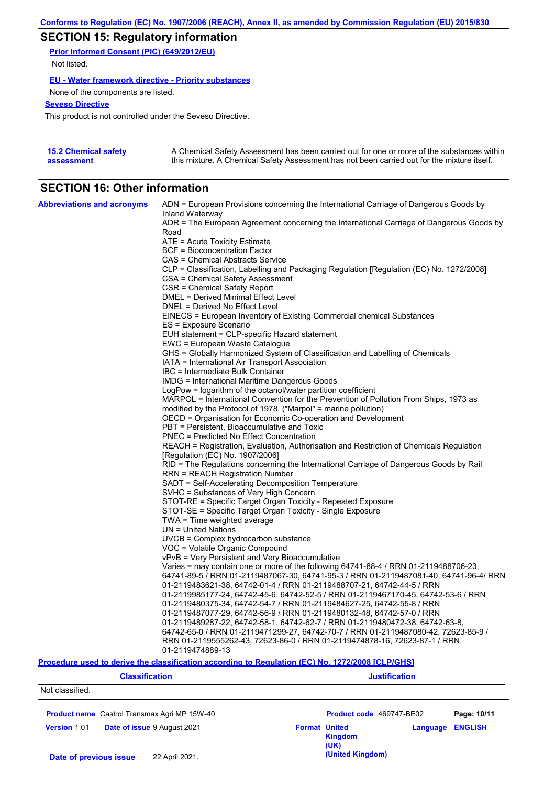# **SECTION 15: Regulatory information**

**Prior Informed Consent (PIC) (649/2012/EU)** Not listed.

**EU - Water framework directive - Priority substances**

None of the components are listed.

## **Seveso Directive**

This product is not controlled under the Seveso Directive.

| <b>15.2 Chemical safety</b> | A Chemical Safety Assessment has been carried out for one or more of the substances within  |
|-----------------------------|---------------------------------------------------------------------------------------------|
| assessment                  | this mixture. A Chemical Safety Assessment has not been carried out for the mixture itself. |

## **SECTION 16: Other information**

| ADR = The European Agreement concerning the International Carriage of Dangerous Goods by<br>Road<br>ATE = Acute Toxicity Estimate<br><b>BCF</b> = Bioconcentration Factor<br>CAS = Chemical Abstracts Service<br>CLP = Classification, Labelling and Packaging Regulation [Regulation (EC) No. 1272/2008]<br>CSA = Chemical Safety Assessment<br>CSR = Chemical Safety Report<br>DMEL = Derived Minimal Effect Level<br>DNEL = Derived No Effect Level<br>EINECS = European Inventory of Existing Commercial chemical Substances<br>ES = Exposure Scenario<br>EUH statement = CLP-specific Hazard statement<br>EWC = European Waste Catalogue<br>GHS = Globally Harmonized System of Classification and Labelling of Chemicals<br>IATA = International Air Transport Association<br>IBC = Intermediate Bulk Container<br><b>IMDG = International Maritime Dangerous Goods</b><br>LogPow = logarithm of the octanol/water partition coefficient<br>MARPOL = International Convention for the Prevention of Pollution From Ships, 1973 as<br>modified by the Protocol of 1978. ("Marpol" = marine pollution)<br>OECD = Organisation for Economic Co-operation and Development<br>PBT = Persistent, Bioaccumulative and Toxic<br><b>PNEC = Predicted No Effect Concentration</b><br>REACH = Registration, Evaluation, Authorisation and Restriction of Chemicals Regulation<br>[Regulation (EC) No. 1907/2006]<br>RID = The Regulations concerning the International Carriage of Dangerous Goods by Rail<br>RRN = REACH Registration Number<br>SADT = Self-Accelerating Decomposition Temperature<br>SVHC = Substances of Very High Concern<br>STOT-RE = Specific Target Organ Toxicity - Repeated Exposure<br>STOT-SE = Specific Target Organ Toxicity - Single Exposure<br>TWA = Time weighted average<br>$UN = United Nations$<br>UVCB = Complex hydrocarbon substance<br>VOC = Volatile Organic Compound<br>vPvB = Very Persistent and Very Bioaccumulative<br>Varies = may contain one or more of the following 64741-88-4 / RRN 01-2119488706-23,<br>64741-89-5 / RRN 01-2119487067-30, 64741-95-3 / RRN 01-2119487081-40, 64741-96-4/ RRN<br>01-2119483621-38, 64742-01-4 / RRN 01-2119488707-21, 64742-44-5 / RRN<br>01-2119985177-24, 64742-45-6, 64742-52-5 / RRN 01-2119467170-45, 64742-53-6 / RRN<br>01-2119480375-34, 64742-54-7 / RRN 01-2119484627-25, 64742-55-8 / RRN<br>01-2119487077-29, 64742-56-9 / RRN 01-2119480132-48, 64742-57-0 / RRN<br>01-2119489287-22, 64742-58-1, 64742-62-7 / RRN 01-2119480472-38, 64742-63-8, | <b>Abbreviations and acronyms</b> | ADN = European Provisions concerning the International Carriage of Dangerous Goods by |
|-----------------------------------------------------------------------------------------------------------------------------------------------------------------------------------------------------------------------------------------------------------------------------------------------------------------------------------------------------------------------------------------------------------------------------------------------------------------------------------------------------------------------------------------------------------------------------------------------------------------------------------------------------------------------------------------------------------------------------------------------------------------------------------------------------------------------------------------------------------------------------------------------------------------------------------------------------------------------------------------------------------------------------------------------------------------------------------------------------------------------------------------------------------------------------------------------------------------------------------------------------------------------------------------------------------------------------------------------------------------------------------------------------------------------------------------------------------------------------------------------------------------------------------------------------------------------------------------------------------------------------------------------------------------------------------------------------------------------------------------------------------------------------------------------------------------------------------------------------------------------------------------------------------------------------------------------------------------------------------------------------------------------------------------------------------------------------------------------------------------------------------------------------------------------------------------------------------------------------------------------------------------------------------------------------------------------------------------------------------------------------------------------------------------------------------------------------------------------------------------------------------------------------------------------|-----------------------------------|---------------------------------------------------------------------------------------|
|                                                                                                                                                                                                                                                                                                                                                                                                                                                                                                                                                                                                                                                                                                                                                                                                                                                                                                                                                                                                                                                                                                                                                                                                                                                                                                                                                                                                                                                                                                                                                                                                                                                                                                                                                                                                                                                                                                                                                                                                                                                                                                                                                                                                                                                                                                                                                                                                                                                                                                                                               |                                   | Inland Waterway                                                                       |
|                                                                                                                                                                                                                                                                                                                                                                                                                                                                                                                                                                                                                                                                                                                                                                                                                                                                                                                                                                                                                                                                                                                                                                                                                                                                                                                                                                                                                                                                                                                                                                                                                                                                                                                                                                                                                                                                                                                                                                                                                                                                                                                                                                                                                                                                                                                                                                                                                                                                                                                                               |                                   |                                                                                       |
|                                                                                                                                                                                                                                                                                                                                                                                                                                                                                                                                                                                                                                                                                                                                                                                                                                                                                                                                                                                                                                                                                                                                                                                                                                                                                                                                                                                                                                                                                                                                                                                                                                                                                                                                                                                                                                                                                                                                                                                                                                                                                                                                                                                                                                                                                                                                                                                                                                                                                                                                               |                                   |                                                                                       |
|                                                                                                                                                                                                                                                                                                                                                                                                                                                                                                                                                                                                                                                                                                                                                                                                                                                                                                                                                                                                                                                                                                                                                                                                                                                                                                                                                                                                                                                                                                                                                                                                                                                                                                                                                                                                                                                                                                                                                                                                                                                                                                                                                                                                                                                                                                                                                                                                                                                                                                                                               |                                   |                                                                                       |
|                                                                                                                                                                                                                                                                                                                                                                                                                                                                                                                                                                                                                                                                                                                                                                                                                                                                                                                                                                                                                                                                                                                                                                                                                                                                                                                                                                                                                                                                                                                                                                                                                                                                                                                                                                                                                                                                                                                                                                                                                                                                                                                                                                                                                                                                                                                                                                                                                                                                                                                                               |                                   |                                                                                       |
|                                                                                                                                                                                                                                                                                                                                                                                                                                                                                                                                                                                                                                                                                                                                                                                                                                                                                                                                                                                                                                                                                                                                                                                                                                                                                                                                                                                                                                                                                                                                                                                                                                                                                                                                                                                                                                                                                                                                                                                                                                                                                                                                                                                                                                                                                                                                                                                                                                                                                                                                               |                                   |                                                                                       |
|                                                                                                                                                                                                                                                                                                                                                                                                                                                                                                                                                                                                                                                                                                                                                                                                                                                                                                                                                                                                                                                                                                                                                                                                                                                                                                                                                                                                                                                                                                                                                                                                                                                                                                                                                                                                                                                                                                                                                                                                                                                                                                                                                                                                                                                                                                                                                                                                                                                                                                                                               |                                   |                                                                                       |
|                                                                                                                                                                                                                                                                                                                                                                                                                                                                                                                                                                                                                                                                                                                                                                                                                                                                                                                                                                                                                                                                                                                                                                                                                                                                                                                                                                                                                                                                                                                                                                                                                                                                                                                                                                                                                                                                                                                                                                                                                                                                                                                                                                                                                                                                                                                                                                                                                                                                                                                                               |                                   |                                                                                       |
|                                                                                                                                                                                                                                                                                                                                                                                                                                                                                                                                                                                                                                                                                                                                                                                                                                                                                                                                                                                                                                                                                                                                                                                                                                                                                                                                                                                                                                                                                                                                                                                                                                                                                                                                                                                                                                                                                                                                                                                                                                                                                                                                                                                                                                                                                                                                                                                                                                                                                                                                               |                                   |                                                                                       |
|                                                                                                                                                                                                                                                                                                                                                                                                                                                                                                                                                                                                                                                                                                                                                                                                                                                                                                                                                                                                                                                                                                                                                                                                                                                                                                                                                                                                                                                                                                                                                                                                                                                                                                                                                                                                                                                                                                                                                                                                                                                                                                                                                                                                                                                                                                                                                                                                                                                                                                                                               |                                   |                                                                                       |
|                                                                                                                                                                                                                                                                                                                                                                                                                                                                                                                                                                                                                                                                                                                                                                                                                                                                                                                                                                                                                                                                                                                                                                                                                                                                                                                                                                                                                                                                                                                                                                                                                                                                                                                                                                                                                                                                                                                                                                                                                                                                                                                                                                                                                                                                                                                                                                                                                                                                                                                                               |                                   |                                                                                       |
|                                                                                                                                                                                                                                                                                                                                                                                                                                                                                                                                                                                                                                                                                                                                                                                                                                                                                                                                                                                                                                                                                                                                                                                                                                                                                                                                                                                                                                                                                                                                                                                                                                                                                                                                                                                                                                                                                                                                                                                                                                                                                                                                                                                                                                                                                                                                                                                                                                                                                                                                               |                                   |                                                                                       |
|                                                                                                                                                                                                                                                                                                                                                                                                                                                                                                                                                                                                                                                                                                                                                                                                                                                                                                                                                                                                                                                                                                                                                                                                                                                                                                                                                                                                                                                                                                                                                                                                                                                                                                                                                                                                                                                                                                                                                                                                                                                                                                                                                                                                                                                                                                                                                                                                                                                                                                                                               |                                   |                                                                                       |
|                                                                                                                                                                                                                                                                                                                                                                                                                                                                                                                                                                                                                                                                                                                                                                                                                                                                                                                                                                                                                                                                                                                                                                                                                                                                                                                                                                                                                                                                                                                                                                                                                                                                                                                                                                                                                                                                                                                                                                                                                                                                                                                                                                                                                                                                                                                                                                                                                                                                                                                                               |                                   |                                                                                       |
|                                                                                                                                                                                                                                                                                                                                                                                                                                                                                                                                                                                                                                                                                                                                                                                                                                                                                                                                                                                                                                                                                                                                                                                                                                                                                                                                                                                                                                                                                                                                                                                                                                                                                                                                                                                                                                                                                                                                                                                                                                                                                                                                                                                                                                                                                                                                                                                                                                                                                                                                               |                                   |                                                                                       |
|                                                                                                                                                                                                                                                                                                                                                                                                                                                                                                                                                                                                                                                                                                                                                                                                                                                                                                                                                                                                                                                                                                                                                                                                                                                                                                                                                                                                                                                                                                                                                                                                                                                                                                                                                                                                                                                                                                                                                                                                                                                                                                                                                                                                                                                                                                                                                                                                                                                                                                                                               |                                   |                                                                                       |
|                                                                                                                                                                                                                                                                                                                                                                                                                                                                                                                                                                                                                                                                                                                                                                                                                                                                                                                                                                                                                                                                                                                                                                                                                                                                                                                                                                                                                                                                                                                                                                                                                                                                                                                                                                                                                                                                                                                                                                                                                                                                                                                                                                                                                                                                                                                                                                                                                                                                                                                                               |                                   |                                                                                       |
|                                                                                                                                                                                                                                                                                                                                                                                                                                                                                                                                                                                                                                                                                                                                                                                                                                                                                                                                                                                                                                                                                                                                                                                                                                                                                                                                                                                                                                                                                                                                                                                                                                                                                                                                                                                                                                                                                                                                                                                                                                                                                                                                                                                                                                                                                                                                                                                                                                                                                                                                               |                                   |                                                                                       |
|                                                                                                                                                                                                                                                                                                                                                                                                                                                                                                                                                                                                                                                                                                                                                                                                                                                                                                                                                                                                                                                                                                                                                                                                                                                                                                                                                                                                                                                                                                                                                                                                                                                                                                                                                                                                                                                                                                                                                                                                                                                                                                                                                                                                                                                                                                                                                                                                                                                                                                                                               |                                   |                                                                                       |
|                                                                                                                                                                                                                                                                                                                                                                                                                                                                                                                                                                                                                                                                                                                                                                                                                                                                                                                                                                                                                                                                                                                                                                                                                                                                                                                                                                                                                                                                                                                                                                                                                                                                                                                                                                                                                                                                                                                                                                                                                                                                                                                                                                                                                                                                                                                                                                                                                                                                                                                                               |                                   |                                                                                       |
|                                                                                                                                                                                                                                                                                                                                                                                                                                                                                                                                                                                                                                                                                                                                                                                                                                                                                                                                                                                                                                                                                                                                                                                                                                                                                                                                                                                                                                                                                                                                                                                                                                                                                                                                                                                                                                                                                                                                                                                                                                                                                                                                                                                                                                                                                                                                                                                                                                                                                                                                               |                                   |                                                                                       |
|                                                                                                                                                                                                                                                                                                                                                                                                                                                                                                                                                                                                                                                                                                                                                                                                                                                                                                                                                                                                                                                                                                                                                                                                                                                                                                                                                                                                                                                                                                                                                                                                                                                                                                                                                                                                                                                                                                                                                                                                                                                                                                                                                                                                                                                                                                                                                                                                                                                                                                                                               |                                   |                                                                                       |
|                                                                                                                                                                                                                                                                                                                                                                                                                                                                                                                                                                                                                                                                                                                                                                                                                                                                                                                                                                                                                                                                                                                                                                                                                                                                                                                                                                                                                                                                                                                                                                                                                                                                                                                                                                                                                                                                                                                                                                                                                                                                                                                                                                                                                                                                                                                                                                                                                                                                                                                                               |                                   |                                                                                       |
|                                                                                                                                                                                                                                                                                                                                                                                                                                                                                                                                                                                                                                                                                                                                                                                                                                                                                                                                                                                                                                                                                                                                                                                                                                                                                                                                                                                                                                                                                                                                                                                                                                                                                                                                                                                                                                                                                                                                                                                                                                                                                                                                                                                                                                                                                                                                                                                                                                                                                                                                               |                                   |                                                                                       |
|                                                                                                                                                                                                                                                                                                                                                                                                                                                                                                                                                                                                                                                                                                                                                                                                                                                                                                                                                                                                                                                                                                                                                                                                                                                                                                                                                                                                                                                                                                                                                                                                                                                                                                                                                                                                                                                                                                                                                                                                                                                                                                                                                                                                                                                                                                                                                                                                                                                                                                                                               |                                   |                                                                                       |
|                                                                                                                                                                                                                                                                                                                                                                                                                                                                                                                                                                                                                                                                                                                                                                                                                                                                                                                                                                                                                                                                                                                                                                                                                                                                                                                                                                                                                                                                                                                                                                                                                                                                                                                                                                                                                                                                                                                                                                                                                                                                                                                                                                                                                                                                                                                                                                                                                                                                                                                                               |                                   |                                                                                       |
|                                                                                                                                                                                                                                                                                                                                                                                                                                                                                                                                                                                                                                                                                                                                                                                                                                                                                                                                                                                                                                                                                                                                                                                                                                                                                                                                                                                                                                                                                                                                                                                                                                                                                                                                                                                                                                                                                                                                                                                                                                                                                                                                                                                                                                                                                                                                                                                                                                                                                                                                               |                                   |                                                                                       |
|                                                                                                                                                                                                                                                                                                                                                                                                                                                                                                                                                                                                                                                                                                                                                                                                                                                                                                                                                                                                                                                                                                                                                                                                                                                                                                                                                                                                                                                                                                                                                                                                                                                                                                                                                                                                                                                                                                                                                                                                                                                                                                                                                                                                                                                                                                                                                                                                                                                                                                                                               |                                   |                                                                                       |
|                                                                                                                                                                                                                                                                                                                                                                                                                                                                                                                                                                                                                                                                                                                                                                                                                                                                                                                                                                                                                                                                                                                                                                                                                                                                                                                                                                                                                                                                                                                                                                                                                                                                                                                                                                                                                                                                                                                                                                                                                                                                                                                                                                                                                                                                                                                                                                                                                                                                                                                                               |                                   |                                                                                       |
|                                                                                                                                                                                                                                                                                                                                                                                                                                                                                                                                                                                                                                                                                                                                                                                                                                                                                                                                                                                                                                                                                                                                                                                                                                                                                                                                                                                                                                                                                                                                                                                                                                                                                                                                                                                                                                                                                                                                                                                                                                                                                                                                                                                                                                                                                                                                                                                                                                                                                                                                               |                                   |                                                                                       |
|                                                                                                                                                                                                                                                                                                                                                                                                                                                                                                                                                                                                                                                                                                                                                                                                                                                                                                                                                                                                                                                                                                                                                                                                                                                                                                                                                                                                                                                                                                                                                                                                                                                                                                                                                                                                                                                                                                                                                                                                                                                                                                                                                                                                                                                                                                                                                                                                                                                                                                                                               |                                   |                                                                                       |
|                                                                                                                                                                                                                                                                                                                                                                                                                                                                                                                                                                                                                                                                                                                                                                                                                                                                                                                                                                                                                                                                                                                                                                                                                                                                                                                                                                                                                                                                                                                                                                                                                                                                                                                                                                                                                                                                                                                                                                                                                                                                                                                                                                                                                                                                                                                                                                                                                                                                                                                                               |                                   |                                                                                       |
|                                                                                                                                                                                                                                                                                                                                                                                                                                                                                                                                                                                                                                                                                                                                                                                                                                                                                                                                                                                                                                                                                                                                                                                                                                                                                                                                                                                                                                                                                                                                                                                                                                                                                                                                                                                                                                                                                                                                                                                                                                                                                                                                                                                                                                                                                                                                                                                                                                                                                                                                               |                                   |                                                                                       |
|                                                                                                                                                                                                                                                                                                                                                                                                                                                                                                                                                                                                                                                                                                                                                                                                                                                                                                                                                                                                                                                                                                                                                                                                                                                                                                                                                                                                                                                                                                                                                                                                                                                                                                                                                                                                                                                                                                                                                                                                                                                                                                                                                                                                                                                                                                                                                                                                                                                                                                                                               |                                   |                                                                                       |
|                                                                                                                                                                                                                                                                                                                                                                                                                                                                                                                                                                                                                                                                                                                                                                                                                                                                                                                                                                                                                                                                                                                                                                                                                                                                                                                                                                                                                                                                                                                                                                                                                                                                                                                                                                                                                                                                                                                                                                                                                                                                                                                                                                                                                                                                                                                                                                                                                                                                                                                                               |                                   |                                                                                       |
|                                                                                                                                                                                                                                                                                                                                                                                                                                                                                                                                                                                                                                                                                                                                                                                                                                                                                                                                                                                                                                                                                                                                                                                                                                                                                                                                                                                                                                                                                                                                                                                                                                                                                                                                                                                                                                                                                                                                                                                                                                                                                                                                                                                                                                                                                                                                                                                                                                                                                                                                               |                                   |                                                                                       |
|                                                                                                                                                                                                                                                                                                                                                                                                                                                                                                                                                                                                                                                                                                                                                                                                                                                                                                                                                                                                                                                                                                                                                                                                                                                                                                                                                                                                                                                                                                                                                                                                                                                                                                                                                                                                                                                                                                                                                                                                                                                                                                                                                                                                                                                                                                                                                                                                                                                                                                                                               |                                   |                                                                                       |
|                                                                                                                                                                                                                                                                                                                                                                                                                                                                                                                                                                                                                                                                                                                                                                                                                                                                                                                                                                                                                                                                                                                                                                                                                                                                                                                                                                                                                                                                                                                                                                                                                                                                                                                                                                                                                                                                                                                                                                                                                                                                                                                                                                                                                                                                                                                                                                                                                                                                                                                                               |                                   |                                                                                       |
|                                                                                                                                                                                                                                                                                                                                                                                                                                                                                                                                                                                                                                                                                                                                                                                                                                                                                                                                                                                                                                                                                                                                                                                                                                                                                                                                                                                                                                                                                                                                                                                                                                                                                                                                                                                                                                                                                                                                                                                                                                                                                                                                                                                                                                                                                                                                                                                                                                                                                                                                               |                                   |                                                                                       |
|                                                                                                                                                                                                                                                                                                                                                                                                                                                                                                                                                                                                                                                                                                                                                                                                                                                                                                                                                                                                                                                                                                                                                                                                                                                                                                                                                                                                                                                                                                                                                                                                                                                                                                                                                                                                                                                                                                                                                                                                                                                                                                                                                                                                                                                                                                                                                                                                                                                                                                                                               |                                   |                                                                                       |
|                                                                                                                                                                                                                                                                                                                                                                                                                                                                                                                                                                                                                                                                                                                                                                                                                                                                                                                                                                                                                                                                                                                                                                                                                                                                                                                                                                                                                                                                                                                                                                                                                                                                                                                                                                                                                                                                                                                                                                                                                                                                                                                                                                                                                                                                                                                                                                                                                                                                                                                                               |                                   |                                                                                       |
|                                                                                                                                                                                                                                                                                                                                                                                                                                                                                                                                                                                                                                                                                                                                                                                                                                                                                                                                                                                                                                                                                                                                                                                                                                                                                                                                                                                                                                                                                                                                                                                                                                                                                                                                                                                                                                                                                                                                                                                                                                                                                                                                                                                                                                                                                                                                                                                                                                                                                                                                               |                                   |                                                                                       |
|                                                                                                                                                                                                                                                                                                                                                                                                                                                                                                                                                                                                                                                                                                                                                                                                                                                                                                                                                                                                                                                                                                                                                                                                                                                                                                                                                                                                                                                                                                                                                                                                                                                                                                                                                                                                                                                                                                                                                                                                                                                                                                                                                                                                                                                                                                                                                                                                                                                                                                                                               |                                   |                                                                                       |
|                                                                                                                                                                                                                                                                                                                                                                                                                                                                                                                                                                                                                                                                                                                                                                                                                                                                                                                                                                                                                                                                                                                                                                                                                                                                                                                                                                                                                                                                                                                                                                                                                                                                                                                                                                                                                                                                                                                                                                                                                                                                                                                                                                                                                                                                                                                                                                                                                                                                                                                                               |                                   | 64742-65-0 / RRN 01-2119471299-27, 64742-70-7 / RRN 01-2119487080-42, 72623-85-9 /    |
| RRN 01-2119555262-43, 72623-86-0 / RRN 01-2119474878-16, 72623-87-1 / RRN                                                                                                                                                                                                                                                                                                                                                                                                                                                                                                                                                                                                                                                                                                                                                                                                                                                                                                                                                                                                                                                                                                                                                                                                                                                                                                                                                                                                                                                                                                                                                                                                                                                                                                                                                                                                                                                                                                                                                                                                                                                                                                                                                                                                                                                                                                                                                                                                                                                                     |                                   |                                                                                       |
| 01-2119474889-13                                                                                                                                                                                                                                                                                                                                                                                                                                                                                                                                                                                                                                                                                                                                                                                                                                                                                                                                                                                                                                                                                                                                                                                                                                                                                                                                                                                                                                                                                                                                                                                                                                                                                                                                                                                                                                                                                                                                                                                                                                                                                                                                                                                                                                                                                                                                                                                                                                                                                                                              |                                   |                                                                                       |

## **Procedure used to derive the classification according to Regulation (EC) No. 1272/2008 [CLP/GHS]**

| <b>Classification</b>                               | <b>Justification</b>                                                         |  |  |
|-----------------------------------------------------|------------------------------------------------------------------------------|--|--|
| Not classified.                                     |                                                                              |  |  |
| <b>Product name</b> Castrol Transmax Agri MP 15W-40 | Product code 469747-BE02<br>Page: 10/11                                      |  |  |
| Version 1.01<br>Date of issue 9 August 2021         | <b>ENGLISH</b><br><b>Format United</b><br>Language<br><b>Kingdom</b><br>(UK) |  |  |
| 22 April 2021.<br>Date of previous issue            | (United Kingdom)                                                             |  |  |